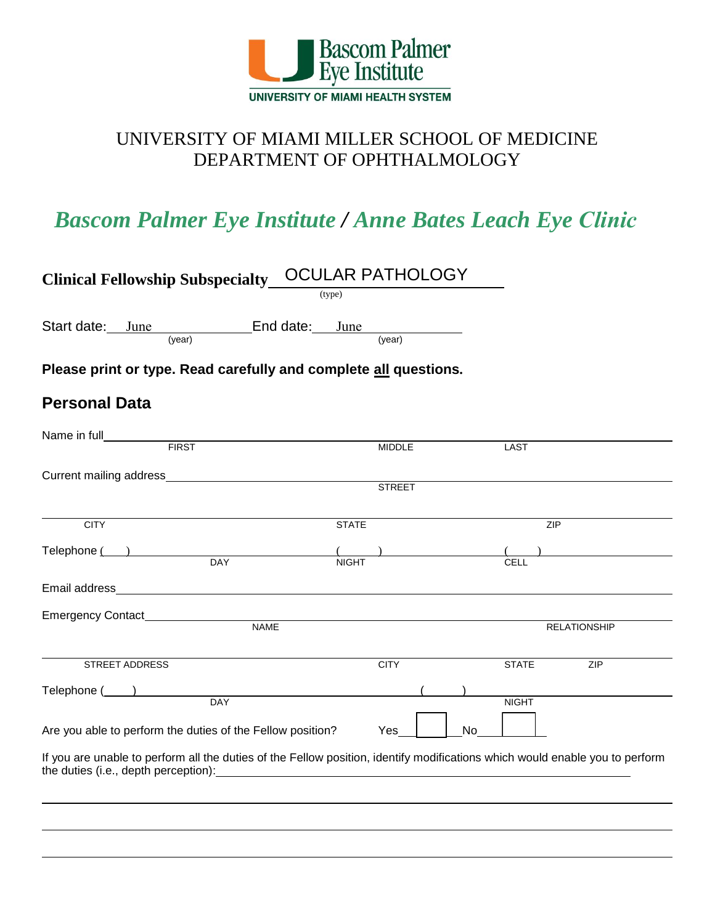

# UNIVERSITY OF MIAMI MILLER SCHOOL OF MEDICINE DEPARTMENT OF OPHTHALMOLOGY

# *Bascom Palmer Eye Institute / Anne Bates Leach Eye Clinic*

| <b>Clinical Fellowship Subspecialty_</b><br>(type)                                                                                                                                                                                                                                                                                                                                                                          | <b>OCULAR PATHOLOGY</b>            |
|-----------------------------------------------------------------------------------------------------------------------------------------------------------------------------------------------------------------------------------------------------------------------------------------------------------------------------------------------------------------------------------------------------------------------------|------------------------------------|
| Start date: June End date: June<br>(year)                                                                                                                                                                                                                                                                                                                                                                                   | (year)                             |
| Please print or type. Read carefully and complete all questions.                                                                                                                                                                                                                                                                                                                                                            |                                    |
| <b>Personal Data</b>                                                                                                                                                                                                                                                                                                                                                                                                        |                                    |
| Name in full_<br><b>FIRST</b>                                                                                                                                                                                                                                                                                                                                                                                               | <b>MIDDLE</b><br>LAST              |
|                                                                                                                                                                                                                                                                                                                                                                                                                             | <b>STREET</b>                      |
| <b>STATE</b><br><b>CITY</b>                                                                                                                                                                                                                                                                                                                                                                                                 | ZIP                                |
| Telephone ( )<br>DAY<br><b>NIGHT</b>                                                                                                                                                                                                                                                                                                                                                                                        | CELL                               |
|                                                                                                                                                                                                                                                                                                                                                                                                                             |                                    |
| <b>NAME</b>                                                                                                                                                                                                                                                                                                                                                                                                                 | <b>RELATIONSHIP</b>                |
| STREET ADDRESS                                                                                                                                                                                                                                                                                                                                                                                                              | <b>CITY</b><br><b>STATE</b><br>ZIP |
| Telephone ( )<br><b>DAY</b>                                                                                                                                                                                                                                                                                                                                                                                                 | <b>NIGHT</b>                       |
| Are you able to perform the duties of the Fellow position?<br>If you are unable to perform all the duties of the Fellow position, identify modifications which would enable you to perform<br>the duties (i.e., depth perception): example and the duties of the duties of the duties of the duties of the state of the state of the state of the state of the state of the state of the state of the state of the state of | Yes<br>No                          |
|                                                                                                                                                                                                                                                                                                                                                                                                                             |                                    |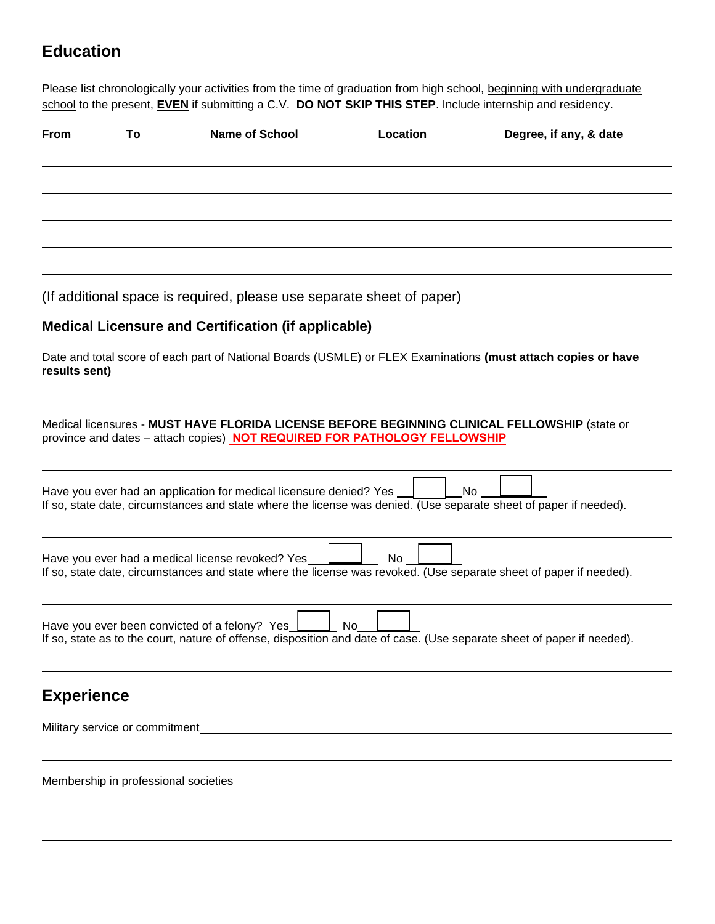## **Education**

Please list chronologically your activities from the time of graduation from high school, beginning with undergraduate school to the present, **EVEN** if submitting a C.V. **DO NOT SKIP THIS STEP**. Include internship and residency.

| <b>From</b>       | To | <b>Name of School</b>                                                        | Location | Degree, if any, & date                                                                                                   |
|-------------------|----|------------------------------------------------------------------------------|----------|--------------------------------------------------------------------------------------------------------------------------|
|                   |    |                                                                              |          |                                                                                                                          |
|                   |    |                                                                              |          |                                                                                                                          |
|                   |    |                                                                              |          |                                                                                                                          |
|                   |    | (If additional space is required, please use separate sheet of paper)        |          |                                                                                                                          |
|                   |    | <b>Medical Licensure and Certification (if applicable)</b>                   |          |                                                                                                                          |
| results sent)     |    |                                                                              |          | Date and total score of each part of National Boards (USMLE) or FLEX Examinations (must attach copies or have            |
|                   |    | province and dates - attach copies) NOT REQUIRED FOR PATHOLOGY FELLOWSHIP    |          | Medical licensures - MUST HAVE FLORIDA LICENSE BEFORE BEGINNING CLINICAL FELLOWSHIP (state or                            |
|                   |    | Have you ever had an application for medical licensure denied? Yes           |          | No.<br>If so, state date, circumstances and state where the license was denied. (Use separate sheet of paper if needed). |
|                   |    | Have you ever had a medical license revoked? Yes                             | No       | If so, state date, circumstances and state where the license was revoked. (Use separate sheet of paper if needed).       |
|                   |    | Have you ever been convicted of a felony? Yes                                | No       | If so, state as to the court, nature of offense, disposition and date of case. (Use separate sheet of paper if needed).  |
| <b>Experience</b> |    |                                                                              |          |                                                                                                                          |
|                   |    |                                                                              |          |                                                                                                                          |
|                   |    | Membership in professional societies<br>Membership in professional societies |          |                                                                                                                          |
|                   |    |                                                                              |          |                                                                                                                          |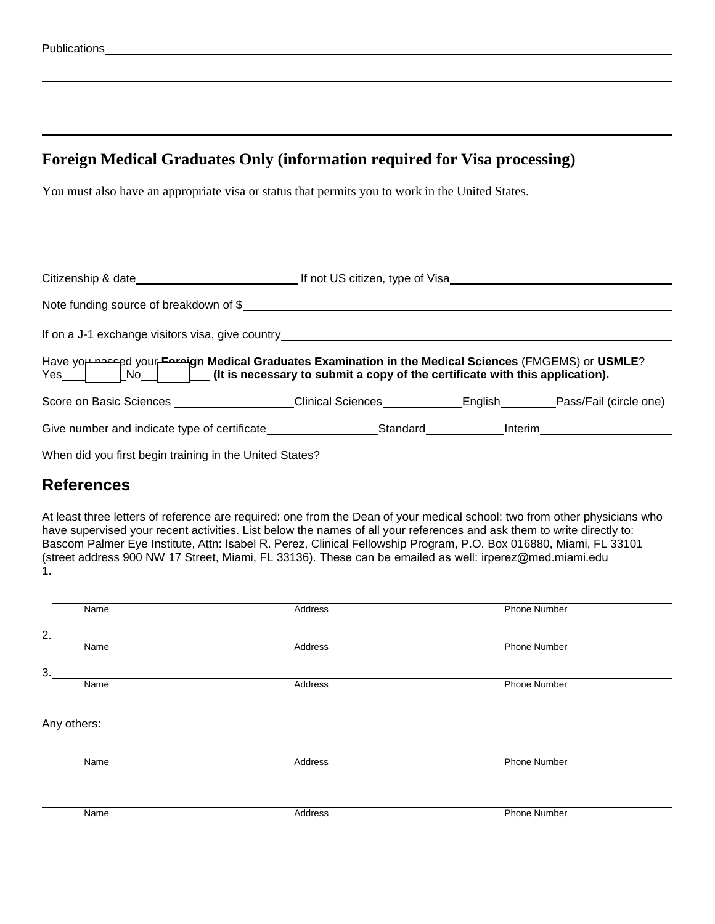## **Foreign Medical Graduates Only (information required for Visa processing)**

You must also have an appropriate visa or status that permits you to work in the United States.

| Note funding source of breakdown of \$                                                                             |  |  |  |  |  |  |
|--------------------------------------------------------------------------------------------------------------------|--|--|--|--|--|--|
|                                                                                                                    |  |  |  |  |  |  |
|                                                                                                                    |  |  |  |  |  |  |
| Score on Basic Sciences _____________________Clinical Sciences _____________English_________Pass/Fail (circle one) |  |  |  |  |  |  |
|                                                                                                                    |  |  |  |  |  |  |
| When did you first begin training in the United States?                                                            |  |  |  |  |  |  |

## **References**

At least three letters of reference are required: one from the Dean of your medical school; two from other physicians who have supervised your recent activities. List below the names of all your references and ask them to write directly to: Bascom Palmer Eye Institute, Attn: Isabel R. Perez, Clinical Fellowship Program, P.O. Box 016880, Miami, FL 33101 (street address 900 NW 17 Street, Miami, FL 33136). These can be emailed as well: irperez@med.miami.edu 1.

| Name        | Address | Phone Number        |
|-------------|---------|---------------------|
| 2.          |         |                     |
| Name        | Address | Phone Number        |
| 3.          |         |                     |
| Name        | Address | <b>Phone Number</b> |
|             |         |                     |
| Any others: |         |                     |
|             |         |                     |
| Name        | Address | <b>Phone Number</b> |
|             |         |                     |
|             |         |                     |
| Name        | Address | Phone Number        |
|             |         |                     |